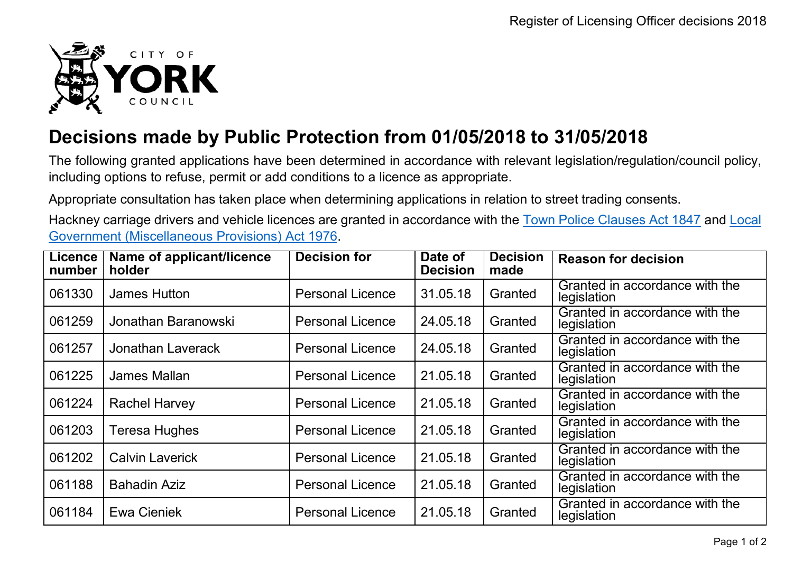

## **Decisions made by Public Protection from 01/05/2018 to 31/05/2018**

The following granted applications have been determined in accordance with relevant legislation/regulation/council policy, including options to refuse, permit or add conditions to a licence as appropriate.

Appropriate consultation has taken place when determining applications in relation to street trading consents.

Hackney carriage drivers and vehicle licences are granted in accordance with the Town Police [Clauses](http://www.legislation.gov.uk/ukpga/Vict/10-11/89) Act 1847 and [Local](http://www.legislation.gov.uk/ukpga/1976/57) [Government \(Miscellaneous Provisions\) Act 1976.](http://www.legislation.gov.uk/ukpga/1976/57)

| <b>Licence</b><br>number | Name of applicant/licence<br>holder | <b>Decision for</b>     | Date of<br><b>Decision</b> | <b>Decision</b><br>made | <b>Reason for decision</b>                    |
|--------------------------|-------------------------------------|-------------------------|----------------------------|-------------------------|-----------------------------------------------|
| 061330                   | <b>James Hutton</b>                 | <b>Personal Licence</b> | 31.05.18                   | Granted                 | Granted in accordance with the<br>legislation |
| 061259                   | Jonathan Baranowski                 | <b>Personal Licence</b> | 24.05.18                   | Granted                 | Granted in accordance with the<br>legislation |
| 061257                   | Jonathan Laverack                   | <b>Personal Licence</b> | 24.05.18                   | Granted                 | Granted in accordance with the<br>legislation |
| 061225                   | James Mallan                        | <b>Personal Licence</b> | 21.05.18                   | Granted                 | Granted in accordance with the<br>legislation |
| 061224                   | <b>Rachel Harvey</b>                | <b>Personal Licence</b> | 21.05.18                   | Granted                 | Granted in accordance with the<br>legislation |
| 061203                   | Teresa Hughes                       | <b>Personal Licence</b> | 21.05.18                   | Granted                 | Granted in accordance with the<br>legislation |
| 061202                   | <b>Calvin Laverick</b>              | <b>Personal Licence</b> | 21.05.18                   | Granted                 | Granted in accordance with the<br>legislation |
| 061188                   | <b>Bahadin Aziz</b>                 | <b>Personal Licence</b> | 21.05.18                   | Granted                 | Granted in accordance with the<br>legislation |
| 061184                   | Ewa Cieniek                         | <b>Personal Licence</b> | 21.05.18                   | Granted                 | Granted in accordance with the<br>legislation |